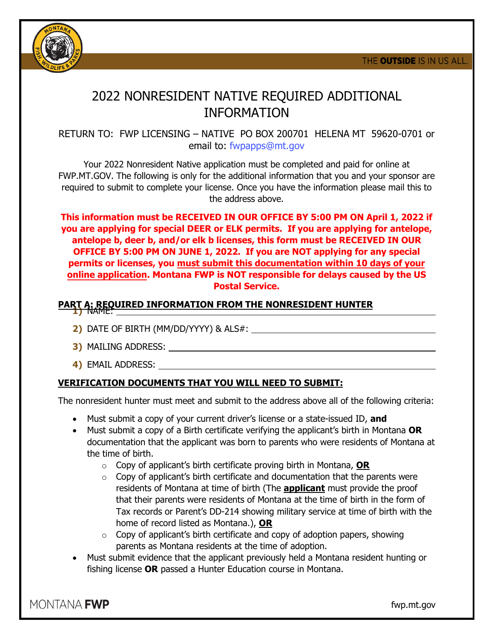

## 2022 NONRESIDENT NATIVE REQUIRED ADDITIONAL INFORMATION

RETURN TO: FWP LICENSING – NATIVE PO BOX 200701 HELENA MT 59620-0701 or email to: fwpapps@mt.gov

Your 2022 Nonresident Native application must be completed and paid for online at FWP.MT.GOV. The following is only for the additional information that you and your sponsor are required to submit to complete your license. Once you have the information please mail this to the address above.

**This information must be RECEIVED IN OUR OFFICE BY 5:00 PM ON April 1, 2022 if you are applying for special DEER or ELK permits. If you are applying for antelope, antelope b, deer b, and/or elk b licenses, this form must be RECEIVED IN OUR OFFICE BY 5:00 PM ON JUNE 1, 2022. If you are NOT applying for any special permits or licenses, you must submit this documentation within 10 days of your online application. Montana FWP is NOT responsible for delays caused by the US Postal Service.** 

## **PART A: REQUIRED INFORMATION FROM THE NONRESIDENT HUNTER 1)** NAME:

- **2)** DATE OF BIRTH (MM/DD/YYYY) & ALS#:
- **3)** MAILING ADDRESS:
- **4)** EMAIL ADDRESS:

## **VERIFICATION DOCUMENTS THAT YOU WILL NEED TO SUBMIT:**

The nonresident hunter must meet and submit to the address above all of the following criteria:

- Must submit a copy of your current driver's license or a state-issued ID, **and**
- Must submit a copy of a Birth certificate verifying the applicant's birth in Montana **OR** documentation that the applicant was born to parents who were residents of Montana at the time of birth.
	- o Copy of applicant's birth certificate proving birth in Montana, **OR**
	- $\circ$  Copy of applicant's birth certificate and documentation that the parents were residents of Montana at time of birth (The **applicant** must provide the proof that their parents were residents of Montana at the time of birth in the form of Tax records or Parent's DD-214 showing military service at time of birth with the home of record listed as Montana.), **OR**
	- $\circ$  Copy of applicant's birth certificate and copy of adoption papers, showing parents as Montana residents at the time of adoption.
- Must submit evidence that the applicant previously held a Montana resident hunting or fishing license **OR** passed a Hunter Education course in Montana.

MONTANA **FWP** 

fwp.mt.gov